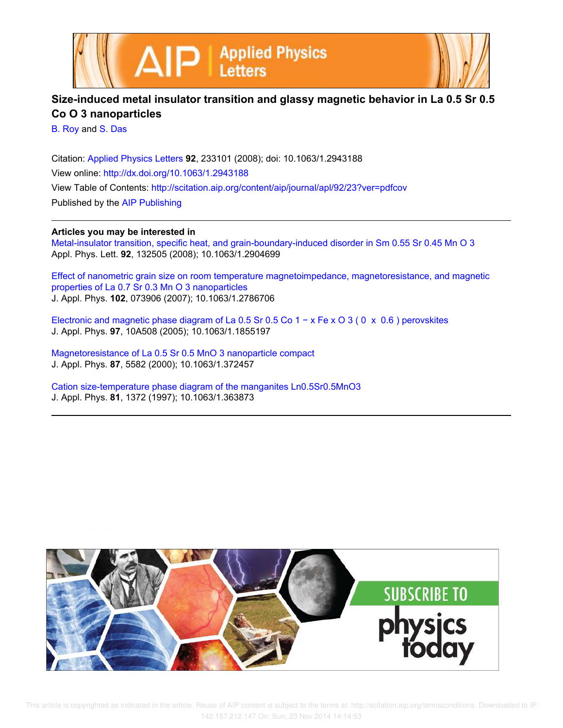



## **Size-induced metal insulator transition and glassy magnetic behavior in La 0.5 Sr 0.5 Co O 3 nanoparticles**

B. Roy and S. Das

Citation: Applied Physics Letters **92**, 233101 (2008); doi: 10.1063/1.2943188 View online: http://dx.doi.org/10.1063/1.2943188 View Table of Contents: http://scitation.aip.org/content/aip/journal/apl/92/23?ver=pdfcov Published by the AIP Publishing

## **Articles you may be interested in**

Metal-insulator transition, specific heat, and grain-boundary-induced disorder in Sm 0.55 Sr 0.45 Mn O 3 Appl. Phys. Lett. **92**, 132505 (2008); 10.1063/1.2904699

Effect of nanometric grain size on room temperature magnetoimpedance, magnetoresistance, and magnetic properties of La 0.7 Sr 0.3 Mn O 3 nanoparticles J. Appl. Phys. **102**, 073906 (2007); 10.1063/1.2786706

Electronic and magnetic phase diagram of La 0.5 Sr 0.5 Co 1 − x Fe x O 3 ( 0 x 0.6 ) perovskites J. Appl. Phys. **97**, 10A508 (2005); 10.1063/1.1855197

Magnetoresistance of La 0.5 Sr 0.5 MnO 3 nanoparticle compact J. Appl. Phys. **87**, 5582 (2000); 10.1063/1.372457

Cation size-temperature phase diagram of the manganites Ln0.5Sr0.5MnO3 J. Appl. Phys. **81**, 1372 (1997); 10.1063/1.363873

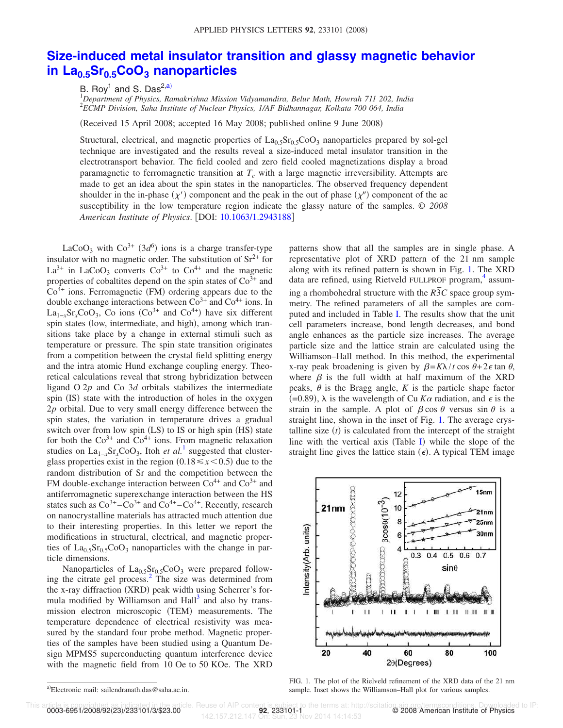## **Size-induced metal insulator transition and glassy magnetic behavior in La0.5Sr0.5CoO<sup>3</sup> nanoparticles**

B. Roy<sup>1</sup> and S. Das<sup>2,a)</sup>

<sup>1</sup>*Department of Physics, Ramakrishna Mission Vidyamandira, Belur Math, Howrah 711 202, India* 2 *ECMP Division, Saha Institute of Nuclear Physics, 1/AF Bidhannagar, Kolkata 700 064, India*

(Received 15 April 2008; accepted 16 May 2008; published online 9 June 2008)

Structural, electrical, and magnetic properties of  $La_{0.5}Sr_{0.5}CoO_3$  nanoparticles prepared by sol-gel technique are investigated and the results reveal a size-induced metal insulator transition in the electrotransport behavior. The field cooled and zero field cooled magnetizations display a broad paramagnetic to ferromagnetic transition at  $T_c$  with a large magnetic irreversibility. Attempts are made to get an idea about the spin states in the nanoparticles. The observed frequency dependent shoulder in the in-phase  $(\chi')$  component and the peak in the out of phase  $(\chi'')$  component of the ac susceptibility in the low temperature region indicate the glassy nature of the samples. © *2008 American Institute of Physics*. DOI: 10.1063/1.2943188

LaCoO<sub>3</sub> with  $Co^{3+}$  (3*d*<sup>6</sup>) ions is a charge transfer-type insulator with no magnetic order. The substitution of  $\text{Sr}^{2+}$  for  $La^{3+}$  in LaCoO<sub>3</sub> converts Co<sup>3+</sup> to Co<sup>4+</sup> and the magnetic properties of cobaltites depend on the spin states of  $\text{Co}^{3+}$  and  $Co<sup>4+</sup>$  ions. Ferromagnetic (FM) ordering appears due to the double exchange interactions between  $\overline{\text{Co}}^{3+}$  and  $\overline{\text{Co}}^{4+}$  ions. In  $La_{1-x}Sr_xCoO_3$ , Co ions (Co<sup>3+</sup> and Co<sup>4+</sup>) have six different spin states (low, intermediate, and high), among which transitions take place by a change in external stimuli such as temperature or pressure. The spin state transition originates from a competition between the crystal field splitting energy and the intra atomic Hund exchange coupling energy. Theoretical calculations reveal that strong hybridization between ligand O 2*p* and Co 3*d* orbitals stabilizes the intermediate spin (IS) state with the introduction of holes in the oxygen 2*p* orbital. Due to very small energy difference between the spin states, the variation in temperature drives a gradual switch over from low spin (LS) to IS or high spin (HS) state for both the  $Co<sup>3+</sup>$  and  $Co<sup>4+</sup>$  ions. From magnetic relaxation studies on  $La_{1-x}Sr_xCoO_3$ , Itoh *et al.*<sup>1</sup> suggested that clusterglass properties exist in the region  $(0.18 \le x \le 0.5)$  due to the random distribution of Sr and the competition between the FM double-exchange interaction between  $\text{Co}^{4+}$  and  $\text{Co}^{3+}$  and antiferromagnetic superexchange interaction between the HS states such as  $Co^{3+} - Co^{3+}$  and  $Co^{4+} - Co^{4+}$ . Recently, research on nanocrystalline materials has attracted much attention due to their interesting properties. In this letter we report the modifications in structural, electrical, and magnetic properties of  $La_0$ <sub>5</sub>Sr<sub>0.5</sub>CoO<sub>3</sub> nanoparticles with the change in particle dimensions.

Nanoparticles of  $La<sub>0.5</sub>Sr<sub>0.5</sub>CoO<sub>3</sub>$  were prepared following the citrate gel process.<sup>2</sup> The size was determined from the x-ray diffraction (XRD) peak width using Scherrer's formula modified by Williamson and Hall<sup>3</sup> and also by transmission electron microscopic (TEM) measurements. The temperature dependence of electrical resistivity was measured by the standard four probe method. Magnetic properties of the samples have been studied using a Quantum Design MPMS5 superconducting quantum interference device with the magnetic field from 10 Oe to 50 KOe. The XRD patterns show that all the samples are in single phase. A representative plot of XRD pattern of the 21 nm sample along with its refined pattern is shown in Fig. 1. The XRD data are refined, using Rietveld FULLPROF program, 4 assuming a rhombohedral structure with the  $R\overline{3}C$  space group symmetry. The refined parameters of all the samples are computed and included in Table I. The results show that the unit cell parameters increase, bond length decreases, and bond angle enhances as the particle size increases. The average particle size and the lattice strain are calculated using the Williamson–Hall method. In this method, the experimental x-ray peak broadening is given by  $\beta = K\lambda/t \cos \theta + 2\epsilon \tan \theta$ , where  $\beta$  is the full width at half maximum of the XRD peaks,  $\theta$  is the Bragg angle, *K* is the particle shape factor  $(=0.89)$ ,  $\lambda$  is the wavelength of Cu  $K\alpha$  radiation, and  $\epsilon$  is the strain in the sample. A plot of  $\beta \cos \theta$  versus sin  $\theta$  is a straight line, shown in the inset of Fig. 1. The average crystalline size  $(t)$  is calculated from the intercept of the straight line with the vertical axis (Table I) while the slope of the straight line gives the lattice stain  $(\epsilon)$ . A typical TEM image



a)Electronic mail: sailendranath.das@saha.ac.in.

FIG. 1. The plot of the Rielveld refinement of the XRD data of the 21 nm sample. Inset shows the Williamson–Hall plot for various samples.

This article is copyrighted as indicated in the article. Reuse of AIP content is subject to the terms at: http://scitation.aip.org/termsconditions. Downloaded to IP:<br>0003-6951/2008/92(23)/233101/3/\$23.00 nt is subject to the terms at: http://<br>**92, 233101-1**<br>On: Sun, 23 Nov 2014 14:14:53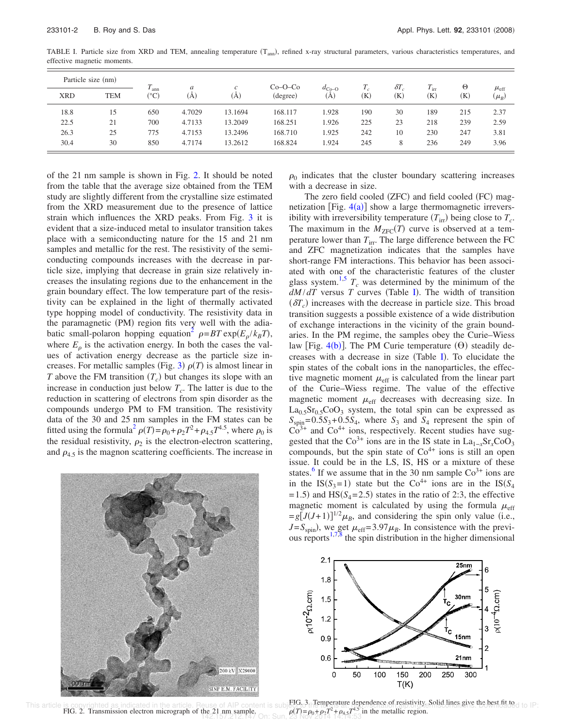| Particle size (nm) |            |                                  | a      | $\mathcal{C}$ | $Co-O-Co$ |                          |                            | $\delta T$                 | $T_{\rm irr}$ | $_{\odot}$ |                              |
|--------------------|------------|----------------------------------|--------|---------------|-----------|--------------------------|----------------------------|----------------------------|---------------|------------|------------------------------|
| <b>XRD</b>         | <b>TEM</b> | <sup>t</sup> ann<br>$(^\circ C)$ | (A)    | (A)           | (degree)  | $d_{\text{Co-O}}$<br>(A) | $\left( \mathrm{K}\right)$ | $\left( \mathrm{K}\right)$ | (K)           | (K)        | $\mu_{\rm eff}$<br>$(\mu_B)$ |
| 18.8               | 15         | 650                              | 4.7029 | 13.1694       | 168.117   | 1.928                    | 190                        | 30                         | 189           | 215        | 2.37                         |
| 22.5               | 21         | 700                              | 4.7133 | 13.2049       | 168.251   | .926                     | 225                        | 23                         | 218           | 239        | 2.59                         |
| 26.3               | 25         | 775                              | 4.7153 | 13.2496       | 168.710   | 1.925                    | 242                        | 10                         | 230           | 247        | 3.81                         |
| 30.4               | 30         | 850                              | 4.7174 | 13.2612       | 168.824   | 1.924                    | 245                        | 8                          | 236           | 249        | 3.96                         |

TABLE I. Particle size from XRD and TEM, annealing temperature (T<sub>ann</sub>), refined x-ray structural parameters, various characteristics temperatures, and effective magnetic moments.

of the 21 nm sample is shown in Fig. 2. It should be noted from the table that the average size obtained from the TEM study are slightly different from the crystalline size estimated from the XRD measurement due to the presence of lattice strain which influences the XRD peaks. From Fig. 3 it is evident that a size-induced metal to insulator transition takes place with a semiconducting nature for the 15 and 21 nm samples and metallic for the rest. The resistivity of the semiconducting compounds increases with the decrease in particle size, implying that decrease in grain size relatively increases the insulating regions due to the enhancement in the grain boundary effect. The low temperature part of the resistivity can be explained in the light of thermally activated type hopping model of conductivity. The resistivity data in the paramagnetic (PM) region fits very well with the adiabatic small-polaron hopping equation<sup>2</sup>  $\rho = BT \exp(E_{\rho}/k_B T)$ , where  $E_\rho$  is the activation energy. In both the cases the values of activation energy decrease as the particle size increases. For metallic samples (Fig. 3)  $\rho(T)$  is almost linear in *T* above the FM transition  $(T_c)$  but changes its slope with an increase in conduction just below *T<sup>c</sup>* . The latter is due to the reduction in scattering of electrons from spin disorder as the compounds undergo PM to FM transition. The resistivity data of the 30 and 25 nm samples in the FM states can be fitted using the formula<sup>2</sup>  $\rho(T) = \rho_0 + \rho_2 T^2 + \rho_{4.5} T^{4.5}$ , where  $\rho_0$  is the residual resistivity,  $\rho_2$  is the electron-electron scattering, and  $\rho_{4.5}$  is the magnon scattering coefficients. The increase in



 $\rho_0$  indicates that the cluster boundary scattering increases with a decrease in size.

The zero field cooled (ZFC) and field cooled (FC) magnetization [Fig.  $4(a)$ ] show a large thermomagnetic irreversibility with irreversibility temperature  $(T_{irr})$  being close to  $T_c$ . The maximum in the  $M_{\text{ZFC}}(T)$  curve is observed at a temperature lower than  $T_{irr}$ . The large difference between the FC and ZFC magnetization indicates that the samples have short-range FM interactions. This behavior has been associated with one of the characteristic features of the cluster glass system.<sup>1,5</sup>  $T_c$  was determined by the minimum of the  $dM/dT$  versus *T* curves (Table I). The width of transition  $(\delta T_c)$  increases with the decrease in particle size. This broad transition suggests a possible existence of a wide distribution of exchange interactions in the vicinity of the grain boundaries. In the PM regime, the samples obey the Curie–Wiess law [Fig.  $4(b)$ ]. The PM Curie temperature  $(\theta)$  steadily decreases with a decrease in size (Table I). To elucidate the spin states of the cobalt ions in the nanoparticles, the effective magnetic moment  $\mu_{\text{eff}}$  is calculated from the linear part of the Curie–Wiess regime. The value of the effective magnetic moment  $\mu_{\text{eff}}$  decreases with decreasing size. In  $La<sub>0.5</sub>Sr<sub>0.5</sub>CoO<sub>3</sub>$  system, the total spin can be expressed as  $S_{spin} = 0.5S_3 + 0.5S_4$ , where  $S_3$  and  $S_4$  represent the spin of  $Co<sup>3+</sup>$  and  $Co<sup>4+</sup>$  ions, respectively. Recent studies have suggested that the  $Co^{3+}$  ions are in the IS state in  $La_{1-x}Sr_xCoO_3$ compounds, but the spin state of  $Co<sup>4+</sup>$  ions is still an open issue. It could be in the LS, IS, HS or a mixture of these states.<sup>6</sup> If we assume that in the 30 nm sample  $\text{Co}^{3+}$  ions are in the IS( $S_3$ =1) state but the Co<sup>4+</sup> ions are in the IS( $S_4$  $=$  1.5) and HS( $S_4$ = 2.5) states in the ratio of 2:3, the effective magnetic moment is calculated by using the formula  $\mu_{\text{eff}}$  $= g\left[\overline{J}(J+1)\right]^{1/2} \mu_B$ , and considering the spin only value (i.e.,  $J = S_{spin}$ , we get  $\mu_{eff} = 3.97 \mu_B$ . In consistence with the previous reports $1.7\%$  the spin distribution in the higher dimensional



FIG. 2. Transmission electron micrograph of the 21 nm sample. This article is copyrighted as indicated in the article. Reuse of AIP content is subject of the units at dependence of resistivity. Solid lines give the best fit to do IP: the 21 nm sample.<br>
142.157.212.147 On: Sun, 23 Nov 2014 14:14:53 in the metallic region.